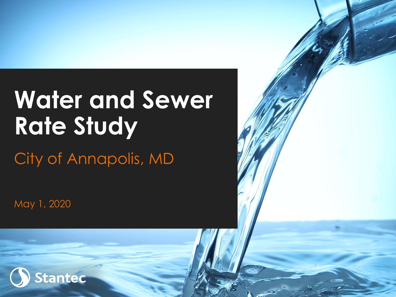## **Water and Sewer Rate Study**

City of Annapolis, MD

May 1, 2020

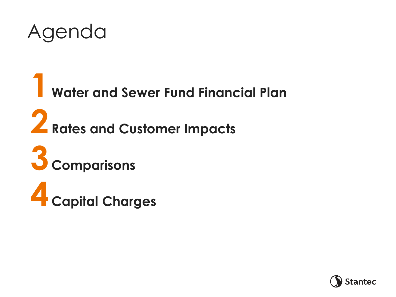

 **Water and Sewer Fund Financial Plan Rates and Customer Impacts Comparisons Capital Charges**

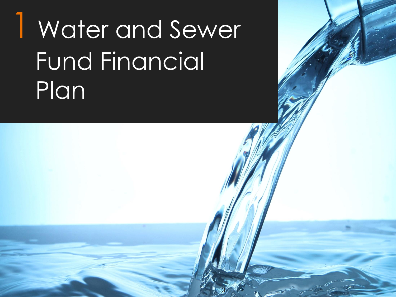## Water and Sewer Fund Financial Plan

3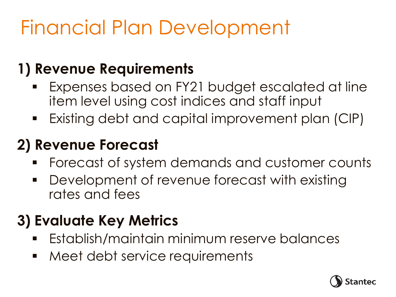### Financial Plan Development

#### **1) Revenue Requirements**

- Expenses based on FY21 budget escalated at line item level using cost indices and staff input
- Existing debt and capital improvement plan (CIP)

#### **2) Revenue Forecast**

- Forecast of system demands and customer counts
- **Development of revenue forecast with existing** rates and fees

#### **3) Evaluate Key Metrics**

- Establish/maintain minimum reserve balances
- **Meet debt service requirements**

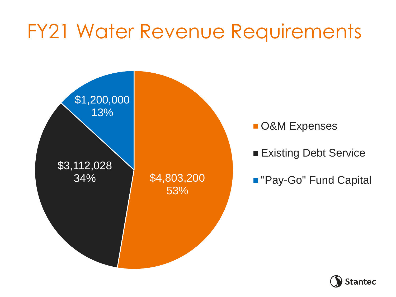#### FY21 Water Revenue Requirements



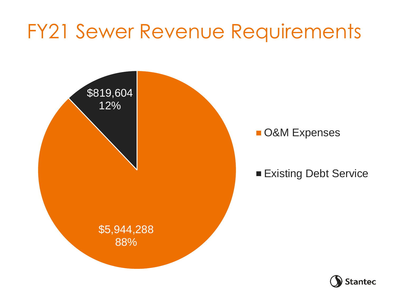#### FY21 Sewer Revenue Requirements



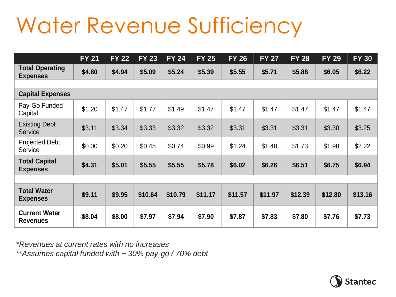### Water Revenue Sufficiency

|                                           | <b>FY 21</b> | <b>FY 22</b> | <b>FY 23</b> | $FY$ 24 | <b>FY 25</b> | <b>FY 26</b> | <b>FY 27</b> | <b>FY 28</b> | <b>FY 29</b> | <b>FY 30</b> |
|-------------------------------------------|--------------|--------------|--------------|---------|--------------|--------------|--------------|--------------|--------------|--------------|
| <b>Total Operating</b><br><b>Expenses</b> | \$4.80       | \$4.94       | \$5.09       | \$5.24  | \$5.39       | \$5.55       | \$5.71       | \$5.88       | \$6.05       | \$6.22       |
|                                           |              |              |              |         |              |              |              |              |              |              |
| <b>Capital Expenses</b>                   |              |              |              |         |              |              |              |              |              |              |
| Pay-Go Funded<br>Capital                  | \$1.20       | \$1.47       | \$1.77       | \$1.49  | \$1.47       | \$1.47       | \$1.47       | \$1.47       | \$1.47       | \$1.47       |
| <b>Existing Debt</b><br>Service           | \$3.11       | \$3.34       | \$3.33       | \$3.32  | \$3.32       | \$3.31       | \$3.31       | \$3.31       | \$3.30       | \$3.25       |
| <b>Projected Debt</b><br>Service          | \$0.00       | \$0.20       | \$0.45       | \$0.74  | \$0.99       | \$1.24       | \$1.48       | \$1.73       | \$1.98       | \$2.22       |
| <b>Total Capital</b><br><b>Expenses</b>   | \$4.31       | \$5.01       | \$5.55       | \$5.55  | \$5.78       | \$6.02       | \$6.26       | \$6.51       | \$6.75       | \$6.94       |
|                                           |              |              |              |         |              |              |              |              |              |              |
| <b>Total Water</b><br><b>Expenses</b>     | \$9.11       | \$9.95       | \$10.64      | \$10.79 | \$11.17      | \$11.57      | \$11.97      | \$12.39      | \$12.80      | \$13.16      |
| <b>Current Water</b><br><b>Revenues</b>   | \$8.04       | \$8.00       | \$7.97       | \$7.94  | \$7.90       | \$7.87       | \$7.83       | \$7.80       | \$7.76       | \$7.73       |

*\*Revenues at current rates with no increases \*\*Assumes capital funded with ~ 30% pay-go / 70% debt*

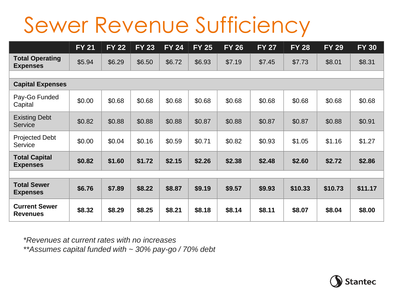### Sewer Revenue Sufficiency

|                                           | <b>FY 21</b> | <b>FY 22</b> | <b>FY 23</b> | <b>FY 24</b> | $FY$ 25 | <b>FY 26</b> | <b>FY 27</b> | <b>FY 28</b> | <b>FY 29</b> | <b>FY 30</b> |
|-------------------------------------------|--------------|--------------|--------------|--------------|---------|--------------|--------------|--------------|--------------|--------------|
| <b>Total Operating</b><br><b>Expenses</b> | \$5.94       | \$6.29       | \$6.50       | \$6.72       | \$6.93  | \$7.19       | \$7.45       | \$7.73       | \$8.01       | \$8.31       |
|                                           |              |              |              |              |         |              |              |              |              |              |
| <b>Capital Expenses</b>                   |              |              |              |              |         |              |              |              |              |              |
| Pay-Go Funded<br>Capital                  | \$0.00       | \$0.68       | \$0.68       | \$0.68       | \$0.68  | \$0.68       | \$0.68       | \$0.68       | \$0.68       | \$0.68       |
| <b>Existing Debt</b><br><b>Service</b>    | \$0.82       | \$0.88       | \$0.88       | \$0.88       | \$0.87  | \$0.88       | \$0.87       | \$0.87       | \$0.88       | \$0.91       |
| <b>Projected Debt</b><br>Service          | \$0.00       | \$0.04       | \$0.16       | \$0.59       | \$0.71  | \$0.82       | \$0.93       | \$1.05       | \$1.16       | \$1.27       |
| <b>Total Capital</b><br><b>Expenses</b>   | \$0.82       | \$1.60       | \$1.72       | \$2.15       | \$2.26  | \$2.38       | \$2.48       | \$2.60       | \$2.72       | \$2.86       |
|                                           |              |              |              |              |         |              |              |              |              |              |
| <b>Total Sewer</b><br><b>Expenses</b>     | \$6.76       | \$7.89       | \$8.22       | \$8.87       | \$9.19  | \$9.57       | \$9.93       | \$10.33      | \$10.73      | \$11.17      |
| <b>Current Sewer</b><br><b>Revenues</b>   | \$8.32       | \$8.29       | \$8.25       | \$8.21       | \$8.18  | \$8.14       | \$8.11       | \$8.07       | \$8.04       | \$8.00       |

*\*Revenues at current rates with no increases \*\*Assumes capital funded with ~ 30% pay-go / 70% debt*

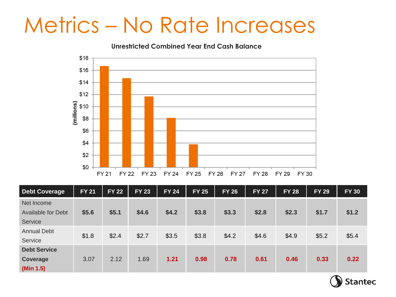#### Metrics – No Rate Increases

**Unrestricted Combined Year End Cash Balance** 



| <b>Debt Coverage</b>      | <b>FY 21</b> | <b>FY 22</b> | <b>FY 23</b> | <b>FY 24</b> | <b>FY 25</b> | <b>FY 26</b> | <b>FY 27</b> | <b>FY 28</b> | <b>FY 29</b> | <b>FY 30</b> |
|---------------------------|--------------|--------------|--------------|--------------|--------------|--------------|--------------|--------------|--------------|--------------|
| Net Income                |              |              |              |              |              |              |              |              |              |              |
| <b>Available for Debt</b> | \$5.6        | \$5.1        | \$4.6        | \$4.2        | \$3.8        | \$3.3        | \$2.8        | \$2.3        | \$1.7        | \$1.2        |
| Service                   |              |              |              |              |              |              |              |              |              |              |
| <b>Annual Debt</b>        | \$1.8        | \$2.4        | \$2.7        | \$3.5        | \$3.8        | \$4.2        | \$4.6        | \$4.9        | \$5.2        | \$5.4        |
| Service                   |              |              |              |              |              |              |              |              |              |              |
| <b>Debt Service</b>       |              |              |              |              |              |              |              |              |              |              |
| Coverage                  | 3.07         | 2.12         | 1.69         | 1.21         | 0.98         | 0.78         | 0.61         | 0.46         | 0.33         | 0.22         |
| (Min 1.5)                 |              |              |              |              |              |              |              |              |              |              |

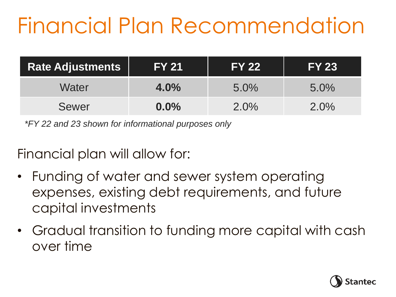## Financial Plan Recommendation

| <b>Rate Adjustments</b> | <b>FY 21</b> | <b>IFY 221</b> | <b>IFY 231</b> |
|-------------------------|--------------|----------------|----------------|
| Water                   | $4.0\%$      | $5.0\%$        | $5.0\%$        |
| <b>Sewer</b>            | $0.0\%$      | $2.0\%$        | $2.0\%$        |

*\*FY 22 and 23 shown for informational purposes only*

Financial plan will allow for:

- Funding of water and sewer system operating expenses, existing debt requirements, and future capital investments
- Gradual transition to funding more capital with cash over time

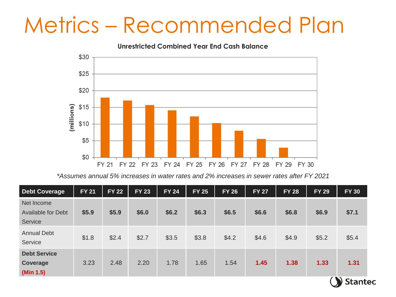#### Metrics – Recommended Plan

**Unrestricted Combined Year End Cash Balance** 



*\*Assumes annual 5% increases in water rates and 2% increases in sewer rates after FY 2021* 

| <b>Debt Coverage</b>                               | <b>FY 21</b> | <b>FY 22</b> | <b>FY 23</b> | <b>FY 24</b> | <b>FY 25</b> | <b>FY 26</b> | <b>FY 27</b> | <b>FY 28</b> | <b>FY 29</b> | <b>FY 30</b> |
|----------------------------------------------------|--------------|--------------|--------------|--------------|--------------|--------------|--------------|--------------|--------------|--------------|
| Net Income<br><b>Available for Debt</b><br>Service | \$5.9        | \$5.9        | \$6.0        | \$6.2        | \$6.3        | \$6.5        | \$6.6        | \$6.8        | \$6.9        | \$7.1        |
| <b>Annual Debt</b><br>Service                      | \$1.8        | \$2.4        | \$2.7        | \$3.5        | \$3.8        | \$4.2        | \$4.6        | \$4.9        | \$5.2        | \$5.4        |
| <b>Debt Service</b><br>Coverage<br>(Min 1.5)       | 3.23         | 2.48         | 2.20         | 1.78         | 1.65         | 1.54         | 1.45         | 1.38         | 1.33         | 1.31         |
|                                                    |              |              |              |              |              |              |              |              |              | Stantec      |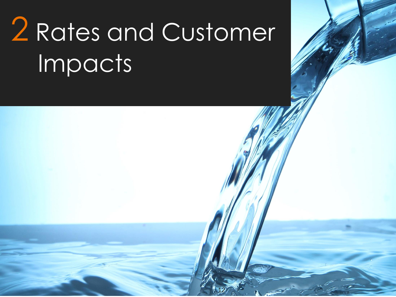## 2 Rates and Customer Impacts

12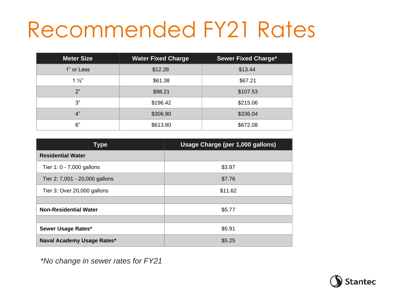### Recommended FY21 Rates

| <b>Meter Size</b> | <b>Water Fixed Charge</b> | <b>Sewer Fixed Charge*</b> |
|-------------------|---------------------------|----------------------------|
| 1" or Less        | \$12.28                   | \$13.44                    |
| $1\frac{1}{2}$    | \$61.38                   | \$67.21                    |
| 2"                | \$98.21                   | \$107.53                   |
| 3"                | \$196.42                  | \$215.06                   |
| 4"                | \$306.90                  | \$336.04                   |
| 6"                | \$613.80                  | \$672.08                   |

| <b>Meter Size</b>                  | <b>Water Fixed Charge</b> |         | <b>Sewer Fixed Charge*</b>       |  |  |  |
|------------------------------------|---------------------------|---------|----------------------------------|--|--|--|
| 1" or Less                         | \$12.28                   |         | \$13.44                          |  |  |  |
| $1\frac{1}{2}$                     | \$61.38                   |         | \$67.21                          |  |  |  |
| 2"                                 | \$98.21                   |         | \$107.53                         |  |  |  |
| 3"                                 | \$196.42                  |         | \$215.06                         |  |  |  |
| 4"                                 | \$306.90                  |         | \$336.04                         |  |  |  |
| 6"                                 | \$613.80                  |         | \$672.08                         |  |  |  |
|                                    |                           |         |                                  |  |  |  |
| <b>Type</b>                        |                           |         | Usage Charge (per 1,000 gallons) |  |  |  |
| <b>Residential Water</b>           |                           |         |                                  |  |  |  |
| Tier 1: 0 - 7,000 gallons          |                           | \$3.87  |                                  |  |  |  |
| Tier 2: 7,001 - 20,000 gallons     |                           | \$7.76  |                                  |  |  |  |
| Tier 3: Over 20,000 gallons        |                           | \$11.62 |                                  |  |  |  |
|                                    |                           |         |                                  |  |  |  |
| <b>Non-Residential Water</b>       |                           | \$5.77  |                                  |  |  |  |
|                                    |                           |         |                                  |  |  |  |
| Sewer Usage Rates*                 |                           | \$5.91  |                                  |  |  |  |
| Naval Academy Usage Rates*         |                           |         | \$5.25                           |  |  |  |
| *No change in sewer rates for FY21 |                           |         |                                  |  |  |  |

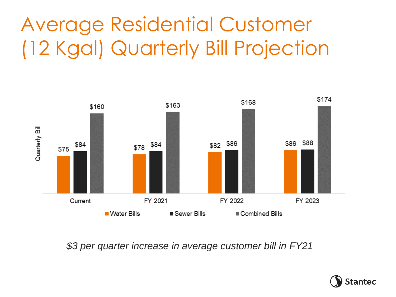#### Average Residential Customer (12 Kgal) Quarterly Bill Projection



*\$3 per quarter increase in average customer bill in FY21* 

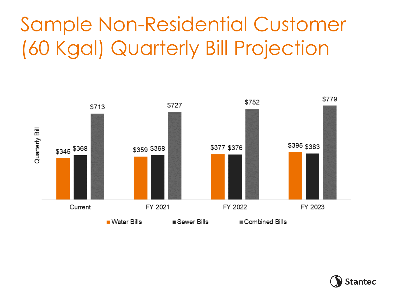#### Sample Non-Residential Customer (60 Kgal) Quarterly Bill Projection



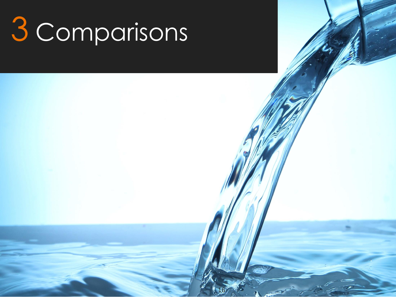# Comparisons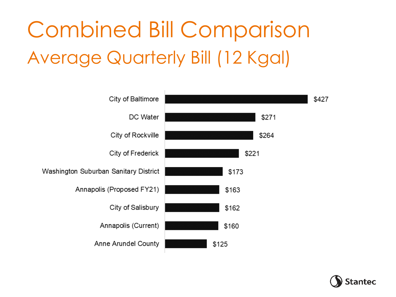## Combined Bill Comparison Average Quarterly Bill (12 Kgal)



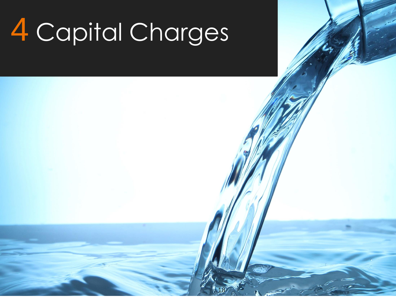## 4 Capital Charges

18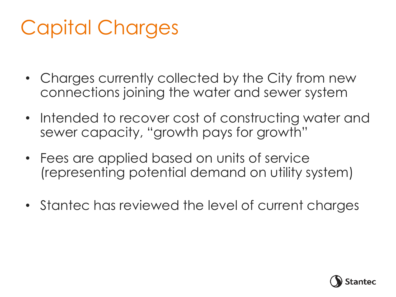#### Capital Charges

- Charges currently collected by the City from new connections joining the water and sewer system
- Intended to recover cost of constructing water and sewer capacity, "growth pays for growth"
- Fees are applied based on units of service (representing potential demand on utility system)
- Stantec has reviewed the level of current charges

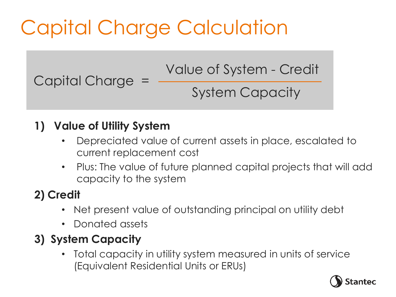### Capital Charge Calculation

Value of System - Credit System Capacity

**1) Value of Utility System** 

Capital Charge =

- Depreciated value of current assets in place, escalated to current replacement cost
- Plus: The value of future planned capital projects that will add capacity to the system

#### **2) Credit**

- Net present value of outstanding principal on utility debt
- Donated assets

#### **3) System Capacity**

• Total capacity in utility system measured in units of service (Equivalent Residential Units or ERUs)

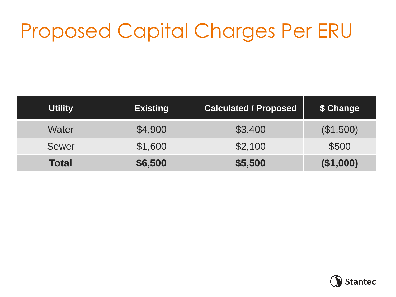#### Proposed Capital Charges Per ERU

| <b>Utility</b> | <b>Existing</b> | <b>Calculated / Proposed</b> | \$ Change |
|----------------|-----------------|------------------------------|-----------|
| Water          | \$4,900         | \$3,400                      | (\$1,500) |
| <b>Sewer</b>   | \$1,600         | \$2,100                      | \$500     |
| <b>Total</b>   | \$6,500         | \$5,500                      | (\$1,000) |

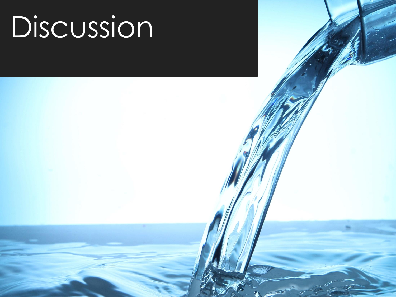## Discussion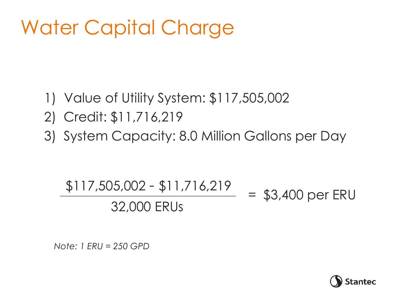#### Water Capital Charge

- 1) Value of Utility System: \$117,505,002
- 2) Credit: \$11,716,219
- 3) System Capacity: 8.0 Million Gallons per Day

#### \$117,505,002 - \$11,716,219 32,000 ERUs\* = \$3,400 per ERU

*\*Note: 1 ERU = 250 GPD*